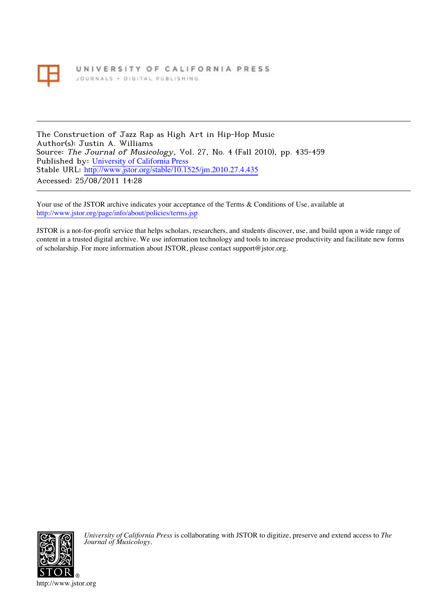

The Construction of Jazz Rap as High Art in Hip-Hop Music Author(s): Justin A. Williams Source: The Journal of Musicology, Vol. 27, No. 4 (Fall 2010), pp. 435-459 Published by: [University of California Press](http://www.jstor.org/action/showPublisher?publisherCode=ucal) Stable URL: [http://www.jstor.org/stable/10.1525/jm.2010.27.4.435](http://www.jstor.org/stable/10.1525/jm.2010.27.4.435?origin=JSTOR-pdf) Accessed: 25/08/2011 14:28

Your use of the JSTOR archive indicates your acceptance of the Terms & Conditions of Use, available at <http://www.jstor.org/page/info/about/policies/terms.jsp>

JSTOR is a not-for-profit service that helps scholars, researchers, and students discover, use, and build upon a wide range of content in a trusted digital archive. We use information technology and tools to increase productivity and facilitate new forms of scholarship. For more information about JSTOR, please contact support@jstor.org.

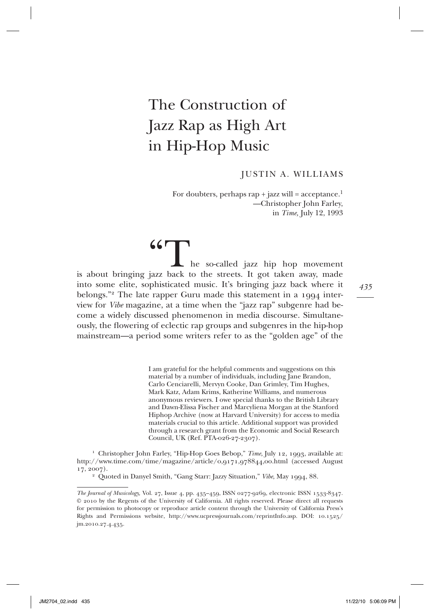# The Construction of Jazz Rap as High Art in Hip-Hop Music

JUSTIN A. WILLIAMS

For doubters, perhaps  $rap + jazz$  will = acceptance.<sup>1</sup> —Christopher John Farley, in *Time,* July 12, 1993

The so-called jazz hip hop movement is about bringing jazz back to the streets. It got taken away, made into some elite, sophisticated music. It's bringing jazz back where it belongs."<sup>2</sup> The late rapper Guru made this statement in a 1994 interview for *Vibe* magazine, at a time when the "jazz rap" subgenre had become a widely discussed phenomenon in media discourse. Simultaneously, the flowering of eclectic rap groups and subgenres in the hip-hop mainstream—a period some writers refer to as the "golden age" of the

> I am grateful for the helpful comments and suggestions on this material by a number of individuals, including Jane Brandon, Carlo Cenciarelli, Mervyn Cooke, Dan Grimley, Tim Hughes, Mark Katz, Adam Krims, Katherine Williams, and numerous anonymous reviewers. I owe special thanks to the British Library and Dawn-Elissa Fischer and Marcyliena Morgan at the Stanford Hiphop Archive (now at Harvard University) for access to media materials crucial to this article. Additional support was provided through a research grant from the Economic and Social Research Council, UK (Ref. PTA-026-27-2307).

<sup>1</sup> Christopher John Farley, "Hip-Hop Goes Bebop," *Time*, July 12, 1993, available at: http://www.time.com/time/magazine/article/0,9171,978844,00.html (accessed August 17, 2007). 2 Quoted in Danyel Smith, "Gang Starr: Jazzy Situation," *Vibe*, May 1994, 88.

*The Journal of Musicology,* Vol. 27, Issue 4, pp. 435–459, ISSN 0277-9269, electronic ISSN 1533-8347. © 2010 by the Regents of the University of California. All rights reserved. Please direct all requests for permission to photocopy or reproduce article content through the University of California Press's Rights and Permissions website, http://www.ucpressjournals.com/reprintInfo.asp. DOI: 10.1525/ jm.2010.27.4.435.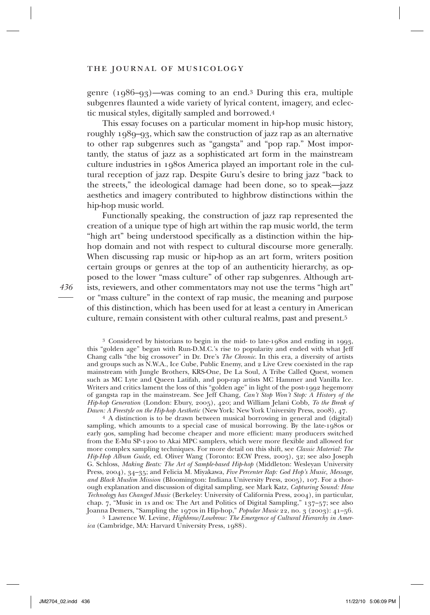genre (1986–93)—was coming to an end.3 During this era, multiple subgenres flaunted a wide variety of lyrical content, imagery, and eclectic musical styles, digitally sampled and borrowed.4

This essay focuses on a particular moment in hip-hop music history, roughly 1989–93, which saw the construction of jazz rap as an alternative to other rap subgenres such as "gangsta" and "pop rap." Most importantly, the status of jazz as a sophisticated art form in the mainstream culture industries in 1980s America played an important role in the cultural reception of jazz rap. Despite Guru's desire to bring jazz "back to the streets," the ideological damage had been done, so to speak—jazz aesthetics and imagery contributed to highbrow distinctions within the hip-hop music world.

Functionally speaking, the construction of jazz rap represented the creation of a unique type of high art within the rap music world, the term "high art" being understood specifically as a distinction within the hiphop domain and not with respect to cultural discourse more generally. When discussing rap music or hip-hop as an art form, writers position certain groups or genres at the top of an authenticity hierarchy, as opposed to the lower "mass culture" of other rap subgenres. Although artists, reviewers, and other commentators may not use the terms "high art" or "mass culture" in the context of rap music, the meaning and purpose of this distinction, which has been used for at least a century in American culture, remain consistent with other cultural realms, past and present.5

<sup>3</sup> Considered by historians to begin in the mid- to late-1980s and ending in 1993, this "golden age" began with Run-D.M.C.'s rise to popularity and ended with what Jeff Chang calls "the big crossover" in Dr. Dre's *The Chronic*. In this era, a diversity of artists and groups such as N.W.A., Ice Cube, Public Enemy, and 2 Live Crew coexisted in the rap mainstream with Jungle Brothers, KRS-One, De La Soul, A Tribe Called Quest, women such as MC Lyte and Queen Latifah, and pop-rap artists MC Hammer and Vanilla Ice. Writers and critics lament the loss of this "golden age" in light of the post-1992 hegemony of gangsta rap in the mainstream. See Jeff Chang, *Can't Stop Won't Stop: A History of the Hip-hop Generation* (London: Ebury, 2005), 420; and William Jelani Cobb*, To the Break of Dawn: A Freestyle on the Hip-hop Aesthetic* (New York: New York University Press, 2008), 47.

<sup>4</sup> A distinction is to be drawn between musical borrowing in general and (digital) sampling, which amounts to a special case of musical borrowing. By the late-1980s or early 90s, sampling had become cheaper and more efficient: many producers switched from the E-Mu SP-1200 to Akai MPC samplers, which were more flexible and allowed for more complex sampling techniques. For more detail on this shift, see *Classic Material: The Hip-Hop Album Guide,* ed. Oliver Wang (Toronto: ECW Press, 2003), 32; see also Joseph G. Schloss, *Making Beats: The Art of Sample-based Hip-hop* (Middleton: Wesleyan University Press, 2004), 34–35; and Felicia M. Miyakawa, *Five Percenter Rap: God Hop's Music, Message, and Black Muslim Mission* (Bloomington: Indiana University Press, 2005), 107. For a thorough explanation and discussion of digital sampling, see Mark Katz, *Capturing Sound: How Technology has Changed Music* (Berkeley: University of California Press, 2004), in particular, chap. 7, "Music in 1s and 0s: The Art and Politics of Digital Sampling," 137–57; see also Joanna Demers, "Sampling the 1970s in Hip-hop," *Popular Music* 22, no. 3 (2003): 41–56.

<sup>5</sup> Lawrence W. Levine, *Highbrow/Lowbrow: The Emergence of Cultural Hierarchy in America* (Cambridge, MA: Harvard University Press, 1988).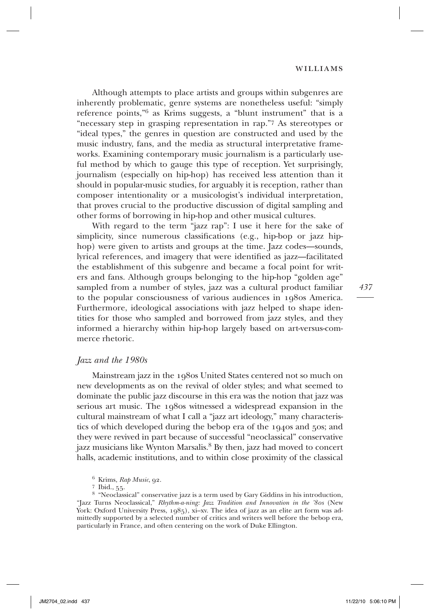Although attempts to place artists and groups within subgenres are inherently problematic, genre systems are nonetheless useful: "simply reference points,"6 as Krims suggests, a "blunt instrument" that is a "necessary step in grasping representation in rap."7 As stereotypes or "ideal types," the genres in question are constructed and used by the music industry, fans, and the media as structural interpretative frameworks. Examining contemporary music journalism is a particularly useful method by which to gauge this type of reception. Yet surprisingly, journalism (especially on hip-hop) has received less attention than it should in popular-music studies, for arguably it is reception, rather than composer intentionality or a musicologist's individual interpretation, that proves crucial to the productive discussion of digital sampling and other forms of borrowing in hip-hop and other musical cultures.

With regard to the term "jazz rap": I use it here for the sake of simplicity, since numerous classifications (e.g., hip-bop or jazz hiphop) were given to artists and groups at the time. Jazz codes—sounds, lyrical references, and imagery that were identified as jazz—facilitated the establishment of this subgenre and became a focal point for writers and fans. Although groups belonging to the hip-hop "golden age" sampled from a number of styles, jazz was a cultural product familiar to the popular consciousness of various audiences in 1980s America. Furthermore, ideological associations with jazz helped to shape identities for those who sampled and borrowed from jazz styles, and they informed a hierarchy within hip-hop largely based on art-versus-commerce rhetoric.

### *Jazz and the 1980s*

Mainstream jazz in the 1980s United States centered not so much on new developments as on the revival of older styles; and what seemed to dominate the public jazz discourse in this era was the notion that jazz was serious art music. The 1980s witnessed a widespread expansion in the cultural mainstream of what I call a "jazz art ideology," many characteristics of which developed during the bebop era of the 1940s and 50s; and they were revived in part because of successful "neoclassical" conservative jazz musicians like Wynton Marsalis.<sup>8</sup> By then, jazz had moved to concert halls, academic institutions, and to within close proximity of the classical

<sup>6</sup> Krims, *Rap Music*, 92.

<sup>7</sup> Ibid., 55.

<sup>8</sup> "Neoclassical" conservative jazz is a term used by Gary Giddins in his introduction, "Jazz Turns Neoclassical," *Rhythm-a-ning: Jazz Tradition and Innovation in the '80s* (New York: Oxford University Press, 1985), xi–xv. The idea of jazz as an elite art form was admittedly supported by a selected number of critics and writers well before the bebop era, particularly in France, and often centering on the work of Duke Ellington.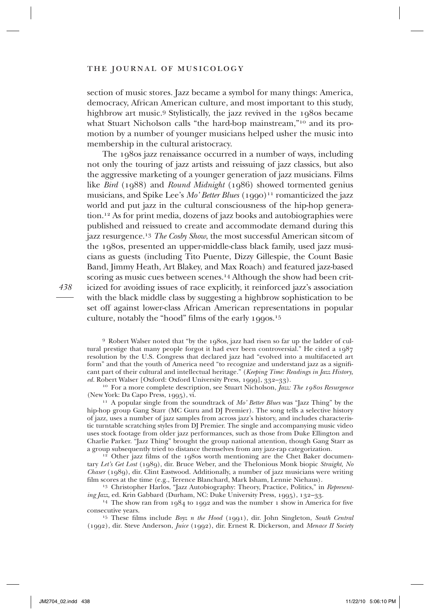#### the journal of musicology

section of music stores. Jazz became a symbol for many things: America, democracy, African American culture, and most important to this study, highbrow art music.<sup>9</sup> Stylistically, the jazz revived in the 1980s became what Stuart Nicholson calls "the hard-bop mainstream,"10 and its promotion by a number of younger musicians helped usher the music into membership in the cultural aristocracy.

The 1980s jazz renaissance occurred in a number of ways, including not only the touring of jazz artists and reissuing of jazz classics, but also the aggressive marketing of a younger generation of jazz musicians. Films like *Bird* (1988) and *Round Midnight* (1986) showed tormented genius musicians, and Spike Lee's *Mo' Better Blues* (1990)<sup>11</sup> romanticized the jazz world and put jazz in the cultural consciousness of the hip-hop generation.12 As for print media, dozens of jazz books and autobiographies were published and reissued to create and accommodate demand during this jazz resurgence.13 *The Cosby Show*, the most successful American sitcom of the 1980s, presented an upper-middle-class black family, used jazz musicians as guests (including Tito Puente, Dizzy Gillespie, the Count Basie Band, Jimmy Heath, Art Blakey, and Max Roach) and featured jazz-based scoring as music cues between scenes.<sup>14</sup> Although the show had been criticized for avoiding issues of race explicitly, it reinforced jazz's association with the black middle class by suggesting a highbrow sophistication to be set off against lower-class African American representations in popular culture, notably the "hood" films of the early  $1990s.^{15}$ 

<sup>9</sup> Robert Walser noted that "by the 1980s, jazz had risen so far up the ladder of cultural prestige that many people forgot it had ever been controversial." He cited a 1987 resolution by the U.S. Congress that declared jazz had "evolved into a multifaceted art form" and that the youth of America need "to recognize and understand jazz as a significant part of their cultural and intellectual heritage." (*Keeping Time: Readings in Jazz History, ed.* Robert Walser [Oxford: Oxford University Press, 1999], 332–33).

<sup>10</sup> For a more complete description, see Stuart Nicholson, *Jazz: The 1980s Resurgence*  (New York: Da Capo Press, 1995), vi.

<sup>11</sup> A popular single from the soundtrack of *Mo' Better Blues* was "Jazz Thing" by the hip-hop group Gang Starr (MC Guru and DJ Premier). The song tells a selective history of jazz, uses a number of jazz samples from across jazz's history, and includes characteristic turntable scratching styles from DJ Premier. The single and accompanying music video uses stock footage from older jazz performances, such as those from Duke Ellington and Charlie Parker. "Jazz Thing" brought the group national attention, though Gang Starr as a group subsequently tried to distance themselves from any jazz-rap categorization.

 $12$  Other jazz films of the 1980s worth mentioning are the Chet Baker documentary *Let's Get Lost* (1989), dir. Bruce Weber, and the Thelonious Monk biopic *Straight, No Chaser* (1989), dir. Clint Eastwood. Additionally, a number of jazz musicians were writing film scores at the time (e.g., Terence Blanchard, Mark Isham, Lennie Niehaus).

<sup>13</sup> Christopher Harlos, "Jazz Autobiography: Theory, Practice, Politics," in *Representing Jazz,* ed. Krin Gabbard (Durham, NC: Duke University Press, 1995), 132–33.

 $14$  The show ran from 1984 to 1992 and was the number 1 show in America for five consecutive years.

<sup>15</sup> These films include *Boyz n the Hood* (1991), dir. John Singleton, *South Central* (1992), dir. Steve Anderson, *Juice* (1992), dir. Ernest R. Dickerson, and *Menace II Society*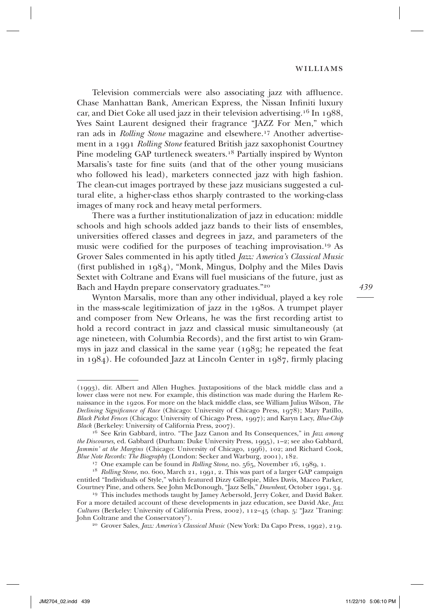Television commercials were also associating jazz with affluence. Chase Manhattan Bank, American Express, the Nissan Infiniti luxury car, and Diet Coke all used jazz in their television advertising.<sup>16</sup> In 1988, Yves Saint Laurent designed their fragrance "JAZZ For Men," which ran ads in *Rolling Stone* magazine and elsewhere.<sup>17</sup> Another advertisement in a 1991 *Rolling Stone* featured British jazz saxophonist Courtney Pine modeling GAP turtleneck sweaters.18 Partially inspired by Wynton Marsalis's taste for fine suits (and that of the other young musicians who followed his lead), marketers connected jazz with high fashion. The clean-cut images portrayed by these jazz musicians suggested a cultural elite, a higher-class ethos sharply contrasted to the working-class images of many rock and heavy metal performers.

There was a further institutionalization of jazz in education: middle schools and high schools added jazz bands to their lists of ensembles, universities offered classes and degrees in jazz, and parameters of the music were codified for the purposes of teaching improvisation.<sup>19</sup> As Grover Sales commented in his aptly titled *Jazz: America's Classical Music* (first published in 1984), "Monk, Mingus, Dolphy and the Miles Davis Sextet with Coltrane and Evans will fuel musicians of the future, just as Bach and Haydn prepare conservatory graduates."20

Wynton Marsalis, more than any other individual, played a key role in the mass-scale legitimization of jazz in the 1980s. A trumpet player and composer from New Orleans, he was the first recording artist to hold a record contract in jazz and classical music simultaneously (at age nineteen, with Columbia Records), and the first artist to win Grammys in jazz and classical in the same year (1983; he repeated the feat in 1984). He cofounded Jazz at Lincoln Center in 1987, firmly placing

<sup>(1993),</sup> dir. Albert and Allen Hughes. Juxtapositions of the black middle class and a lower class were not new. For example, this distinction was made during the Harlem Renaissance in the 1920s. For more on the black middle class, see William Julius Wilson, *The Declining Significance of Race* (Chicago: University of Chicago Press, 1978); Mary Patillo, *Black Picket Fences* (Chicago: University of Chicago Press, 1997); and Karyn Lacy, *Blue-Chip Black* (Berkeley: University of California Press, 2007).

<sup>16</sup> See Krin Gabbard, intro. "The Jazz Canon and Its Consequences," in *Jazz among the Discourses,* ed. Gabbard (Durham: Duke University Press, 1995), 1–2; see also Gabbard, *Jammin' at the Margins* (Chicago: University of Chicago, 1996), 102; and Richard Cook, *Blue Note Records: The Biography* (London: Secker and Warburg, 2001), 182.

<sup>&</sup>lt;sup>17</sup> One example can be found in *Rolling Stone*, no. 565, November 16, 1989, 1.

<sup>&</sup>lt;sup>18</sup> *Rolling Stone, no. 600, March 21, 1991, 2. This was part of a larger GAP campaign* entitled "Individuals of Style," which featured Dizzy Gillespie, Miles Davis, Maceo Parker, Courtney Pine, and others. See John McDonough, "Jazz Sells," *Downbeat,* October 1991, 34.

<sup>&</sup>lt;sup>19</sup> This includes methods taught by Jamey Aebersold, Jerry Coker, and David Baker. For a more detailed account of these developments in jazz education, see David Ake, *Jazz Cultures* (Berkeley: University of California Press, 2002), 112–45 (chap. 5: "Jazz 'Traning: John Coltrane and the Conservatory").

<sup>20</sup> Grover Sales, *Jazz: America's Classical Music* (New York: Da Capo Press, 1992), 219.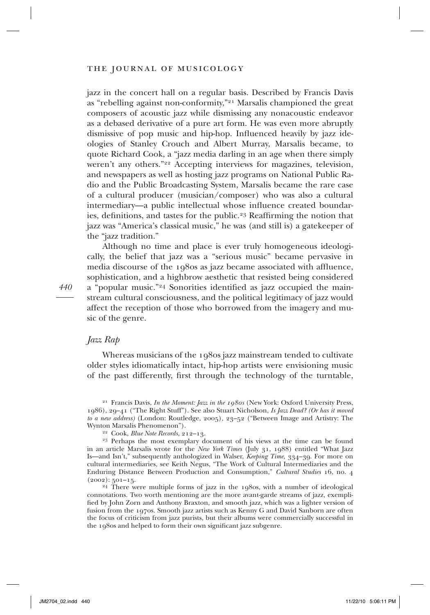jazz in the concert hall on a regular basis. Described by Francis Davis as "rebelling against non-conformity,"21 Marsalis championed the great composers of acoustic jazz while dismissing any nonacoustic endeavor as a debased derivative of a pure art form. He was even more abruptly dismissive of pop music and hip-hop. Influenced heavily by jazz ideologies of Stanley Crouch and Albert Murray, Marsalis became, to quote Richard Cook, a "jazz media darling in an age when there simply weren't any others."22 Accepting interviews for magazines, television, and newspapers as well as hosting jazz programs on National Public Radio and the Public Broadcasting System, Marsalis became the rare case of a cultural producer (musician/composer) who was also a cultural intermediary—a public intellectual whose influence created boundaries, definitions, and tastes for the public.<sup>23</sup> Reaffirming the notion that jazz was "America's classical music," he was (and still is) a gatekeeper of the "jazz tradition."

Although no time and place is ever truly homogeneous ideologically, the belief that jazz was a "serious music" became pervasive in media discourse of the 1980s as jazz became associated with affluence, sophistication, and a highbrow aesthetic that resisted being considered a "popular music."<sup>24</sup> Sonorities identified as jazz occupied the mainstream cultural consciousness, and the political legitimacy of jazz would affect the reception of those who borrowed from the imagery and music of the genre.

# *Jazz Rap*

Whereas musicians of the 1980s jazz mainstream tended to cultivate older styles idiomatically intact, hip-hop artists were envisioning music of the past differently, first through the technology of the turntable,

<sup>21</sup> Francis Davis, *In the Moment: Jazz in the 1980s* (New York: Oxford University Press, 1986), 29–41 ("The Right Stuff"). See also Stuart Nicholson, *Is Jazz Dead? (Or has it moved to a new address)* (London: Routledge, 2005)*,* 23–52 ("Between Image and Artistry: The Wynton Marsalis Phenomenon").

<sup>22</sup> Cook, *Blue Note Records,* 212–13.

<sup>&</sup>lt;sup>23</sup> Perhaps the most exemplary document of his views at the time can be found in an article Marsalis wrote for the *New York Times* (July 31, 1988) entitled "What Jazz Is—and Isn't," subsequently anthologized in Walser, *Keeping Time,* 334–39. For more on cultural intermediaries, see Keith Negus, "The Work of Cultural Intermediaries and the Enduring Distance Between Production and Consumption," *Cultural Studies* 16, no. 4  $(2002): 501-15.$ 

<sup>&</sup>lt;sup>24</sup> There were multiple forms of jazz in the 1980s, with a number of ideological connotations. Two worth mentioning are the more avant-garde streams of jazz, exempli fied by John Zorn and Anthony Braxton, and smooth jazz, which was a lighter version of fusion from the 1970s. Smooth jazz artists such as Kenny G and David Sanborn are often the focus of criticism from jazz purists, but their albums were commercially successful in the 1980s and helped to form their own significant jazz subgenre.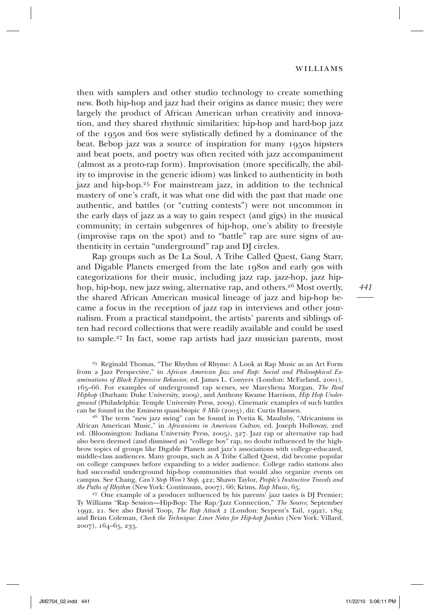then with samplers and other studio technology to create something new. Both hip-hop and jazz had their origins as dance music; they were largely the product of African American urban creativity and innovation, and they shared rhythmic similarities: hip-hop and hard-bop jazz of the 1950s and 60s were stylistically defined by a dominance of the beat. Bebop jazz was a source of inspiration for many 1950s hipsters and beat poets, and poetry was often recited with jazz accompaniment  $(almost as a proto-rap form)$ . Improvisation (more specifically, the ability to improvise in the generic idiom) was linked to authenticity in both jazz and hip-hop.<sup>25</sup> For mainstream jazz, in addition to the technical mastery of one's craft, it was what one did with the past that made one authentic, and battles (or "cutting contests") were not uncommon in the early days of jazz as a way to gain respect (and gigs) in the musical community; in certain subgenres of hip-hop, one's ability to freestyle (improvise raps on the spot) and to "battle" rap are sure signs of authenticity in certain "underground" rap and DJ circles.

Rap groups such as De La Soul, A Tribe Called Quest, Gang Starr, and Digable Planets emerged from the late 1980s and early 90s with categorizations for their music, including jazz rap, jazz-hop, jazz hiphop, hip-bop, new jazz swing, alternative rap, and others.<sup>26</sup> Most overtly, the shared African American musical lineage of jazz and hip-hop became a focus in the reception of jazz rap in interviews and other journalism. From a practical standpoint, the artists' parents and siblings often had record collections that were readily available and could be used to sample.27 In fact, some rap artists had jazz musician parents, most

<sup>25</sup> Reginald Thomas, "The Rhythm of Rhyme: A Look at Rap Music as an Art Form from a Jazz Perspective," in *African American Jazz and Rap: Social and Philosophical Examinations of Black Expressive Behavior*, ed. James L. Conyers (London: McFarland, 2001), 165–66. For examples of underground rap scenes, see Marcyliena Morgan, *The Real Hiphop* (Durham: Duke University, 2009), and Anthony Kwame Harrison, *Hip Hop Underground* (Philadelphia: Temple University Press, 2009). Cinematic examples of such battles can be found in the Eminem quasi-biopic *8 Mile* (2003), dir. Curtis Hansen.

<sup>26</sup> The term "new jazz swing" can be found in Portia K. Maultsby, "Africanisms in African American Music," in *Africanisms in American Culture*, ed. Joseph Holloway, 2nd ed. (Bloomington: Indiana University Press, 2005), 327. Jazz rap or alternative rap had also been deemed (and dismissed as) "college boy" rap, no doubt influenced by the highbrow topics of groups like Digable Planets and jazz's associations with college-educated, middle-class audiences. Many groups, such as A Tribe Called Quest, did become popular on college campuses before expanding to a wider audience. College radio stations also had successful underground hip-hop communities that would also organize events on campus. See Chang, *Can't Stop Won't Stop*, 422; Shawn Taylor, *People's Instinctive Travels and the Paths of Rhythm* (New York: Continuum, 2007), 66; Krims, *Rap Music*, 65.

<sup>27</sup> One example of a producer influenced by his parents' jazz tastes is DJ Premier; Ty Williams "Rap Session—Hip-Bop: The Rap/Jazz Connection," *The Source*, September 1992, 21. See also David Toop, *The Rap Attack 2* (London: Serpent's Tail, 1992), 189; and Brian Coleman, *Check the Technique: Liner Notes for Hip-hop Junkies* (New York: Villard, 2007), 164–65, 235.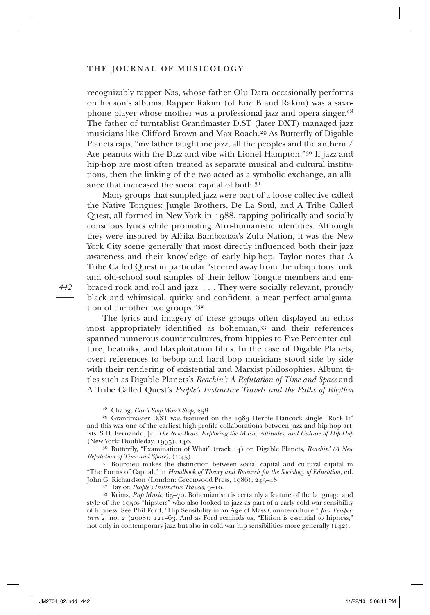recognizably rapper Nas, whose father Olu Dara occasionally performs on his son's albums. Rapper Rakim (of Eric B and Rakim) was a saxophone player whose mother was a professional jazz and opera singer.<sup>28</sup> The father of turntablist Grandmaster D.ST (later DXT) managed jazz musicians like Clifford Brown and Max Roach.<sup>29</sup> As Butterfly of Digable Planets raps, "my father taught me jazz, all the peoples and the anthem / Ate peanuts with the Dizz and vibe with Lionel Hampton."30 If jazz and hip-hop are most often treated as separate musical and cultural institutions, then the linking of the two acted as a symbolic exchange, an alliance that increased the social capital of both.31

Many groups that sampled jazz were part of a loose collective called the Native Tongues: Jungle Brothers, De La Soul, and A Tribe Called Quest, all formed in New York in 1988, rapping politically and socially conscious lyrics while promoting Afro-humanistic identities. Although they were inspired by Afrika Bambaataa's Zulu Nation, it was the New York City scene generally that most directly influenced both their jazz awareness and their knowledge of early hip-hop. Taylor notes that A Tribe Called Quest in particular "steered away from the ubiquitous funk and old-school soul samples of their fellow Tongue members and embraced rock and roll and jazz. . . . They were socially relevant, proudly black and whimsical, quirky and confident, a near perfect amalgamation of the other two groups."32

The lyrics and imagery of these groups often displayed an ethos most appropriately identified as bohemian,<sup>33</sup> and their references spanned numerous countercultures, from hippies to Five Percenter culture, beatniks, and blaxploitation films. In the case of Digable Planets, overt references to bebop and hard bop musicians stood side by side with their rendering of existential and Marxist philosophies. Album titles such as Digable Planets's *Reachin': A Refutation of Time and Space* and A Tribe Called Quest's *People's Instinctive Travels and the Paths of Rhythm*

<sup>28</sup> Chang, *Can't Stop Won't Stop,* 258.

<sup>29</sup> Grandmaster D.ST was featured on the 1983 Herbie Hancock single "Rock It" and this was one of the earliest high-profile collaborations between jazz and hip-hop artists. S.H. Fernando, Jr., *The New Beats: Exploring the Music, Attitudes, and Culture of Hip-Hop*  (New York: Doubleday, 1995), 140.

<sup>30</sup> Butterfly, "Examination of What" (track 14) on Digable Planets, *Reachin' (A New Refutation of Time and Space)*, (1:45).

<sup>31</sup> Bourdieu makes the distinction between social capital and cultural capital in "The Forms of Capital," in *Handbook of Theory and Research for the Sociology of Education*, ed. John G. Richardson (London: Greenwood Press, 1986), 243–48.

<sup>32</sup> Taylor, *People's Instinctive Travels,* 9–10.

<sup>33</sup> Krims, *Rap Music,* 65–70. Bohemianism is certainly a feature of the language and style of the 1950s "hipsters" who also looked to jazz as part of a early cold war sensibility of hipness. See Phil Ford, "Hip Sensibility in an Age of Mass Counterculture," *Jazz Perspectives* 2, no. 2 (2008): 121–63. And as Ford reminds us, "Elitism is essential to hipness," not only in contemporary jazz but also in cold war hip sensibilities more generally (142).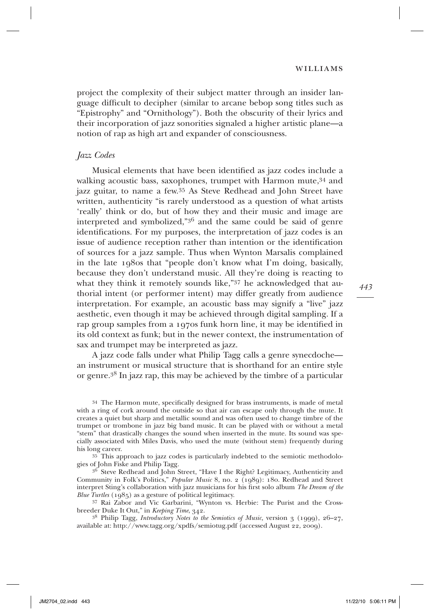project the complexity of their subject matter through an insider language difficult to decipher (similar to arcane bebop song titles such as "Epistrophy" and "Ornithology"). Both the obscurity of their lyrics and their incorporation of jazz sonorities signaled a higher artistic plane—a notion of rap as high art and expander of consciousness.

## *Jazz Codes*

Musical elements that have been identified as jazz codes include a walking acoustic bass, saxophones, trumpet with Harmon mute, 34 and jazz guitar, to name a few.35 As Steve Redhead and John Street have written, authenticity "is rarely understood as a question of what artists 'really' think or do, but of how they and their music and image are interpreted and symbolized,"36 and the same could be said of genre identifications. For my purposes, the interpretation of jazz codes is an issue of audience reception rather than intention or the identification of sources for a jazz sample. Thus when Wynton Marsalis complained in the late 1980s that "people don't know what I'm doing, basically, because they don't understand music. All they're doing is reacting to what they think it remotely sounds like,"37 he acknowledged that authorial intent (or performer intent) may differ greatly from audience interpretation. For example, an acoustic bass may signify a "live" jazz aesthetic, even though it may be achieved through digital sampling. If a rap group samples from a 1970s funk horn line, it may be identified in its old context as funk; but in the newer context, the instrumentation of sax and trumpet may be interpreted as jazz.

A jazz code falls under what Philip Tagg calls a genre synecdoche an instrument or musical structure that is shorthand for an entire style or genre.38 In jazz rap, this may be achieved by the timbre of a particular

34 The Harmon mute, specifically designed for brass instruments, is made of metal with a ring of cork around the outside so that air can escape only through the mute. It creates a quiet but sharp and metallic sound and was often used to change timbre of the trumpet or trombone in jazz big band music. It can be played with or without a metal "stem" that drastically changes the sound when inserted in the mute. Its sound was specially associated with Miles Davis, who used the mute (without stem) frequently during his long career.

<sup>35</sup> This approach to jazz codes is particularly indebted to the semiotic methodologies of John Fiske and Philip Tagg.

<sup>36</sup> Steve Redhead and John Street, "Have I the Right? Legitimacy, Authenticity and Community in Folk's Politics," *Popular Music* 8, no. 2 (1989): 180. Redhead and Street interpret Sting's collaboration with jazz musicians for his first solo album *The Dream of the Blue Turtles* (1985) as a gesture of political legitimacy.

<sup>37</sup> Rai Zabor and Vic Garbarini, "Wynton vs. Herbie: The Purist and the Crossbreeder Duke It Out," in *Keeping Time*, 342.

<sup>38</sup> Philip Tagg, *Introductory Notes to the Semiotics of Music,* version 3 (1999), 26–27, available at: http://www.tagg.org/xpdfs/semiotug.pdf (accessed August 22, 2009).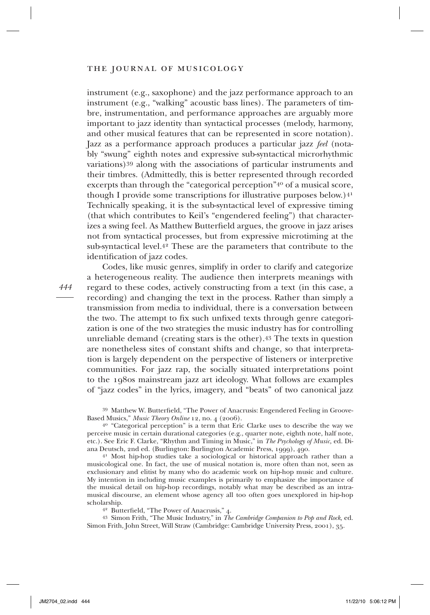instrument (e.g., saxophone) and the jazz performance approach to an instrument (e.g., "walking" acoustic bass lines). The parameters of timbre, instrumentation, and performance approaches are arguably more important to jazz identity than syntactical processes (melody, harmony, and other musical features that can be represented in score notation). Jazz as a performance approach produces a particular jazz *feel* (notably "swung" eighth notes and expressive sub-syntactical microrhythmic variations)39 along with the associations of particular instruments and their timbres. (Admittedly, this is better represented through recorded excerpts than through the "categorical perception"40 of a musical score, though I provide some transcriptions for illustrative purposes below.) $4<sup>1</sup>$ Technically speaking, it is the sub-syntactical level of expressive timing (that which contributes to Keil's "engendered feeling") that characterizes a swing feel. As Matthew Butterfield argues, the groove in jazz arises not from syntactical processes, but from expressive microtiming at the sub-syntactical level.42 These are the parameters that contribute to the identification of jazz codes.

*444*

Codes, like music genres, simplify in order to clarify and categorize a heterogeneous reality. The audience then interprets meanings with regard to these codes, actively constructing from a text (in this case, a recording) and changing the text in the process. Rather than simply a transmission from media to individual, there is a conversation between the two. The attempt to fix such unfixed texts through genre categorization is one of the two strategies the music industry has for controlling unreliable demand (creating stars is the other).43 The texts in question are nonetheless sites of constant shifts and change, so that interpretation is largely dependent on the perspective of listeners or interpretive communities. For jazz rap, the socially situated interpretations point to the 1980s mainstream jazz art ideology. What follows are examples of "jazz codes" in the lyrics, imagery, and "beats" of two canonical jazz

39 Matthew W. Butterfield, "The Power of Anacrusis: Engendered Feeling in Groove-Based Musics," *Music Theory Online* 12, no. 4 (2006).

<sup>40</sup> "Categorical perception" is a term that Eric Clarke uses to describe the way we perceive music in certain durational categories (e.g., quarter note, eighth note, half note, etc.). See Eric F. Clarke, "Rhythm and Timing in Music," in *The Psychology of Music,* ed. Diana Deutsch, 2nd ed. (Burlington: Burlington Academic Press, 1999), 490.

<sup>41</sup> Most hip-hop studies take a sociological or historical approach rather than a musicological one. In fact, the use of musical notation is, more often than not, seen as exclusionary and elitist by many who do academic work on hip-hop music and culture. My intention in including music examples is primarily to emphasize the importance of the musical detail on hip-hop recordings, notably what may be described as an intramusical discourse, an element whose agency all too often goes unexplored in hip-hop scholarship.

<sup>42</sup> Butterfield, "The Power of Anacrusis," 4.

<sup>43</sup> Simon Frith, "The Music Industry," in *The Cambridge Companion to Pop and Rock,* ed. Simon Frith, John Street, Will Straw (Cambridge: Cambridge University Press, 2001), 35.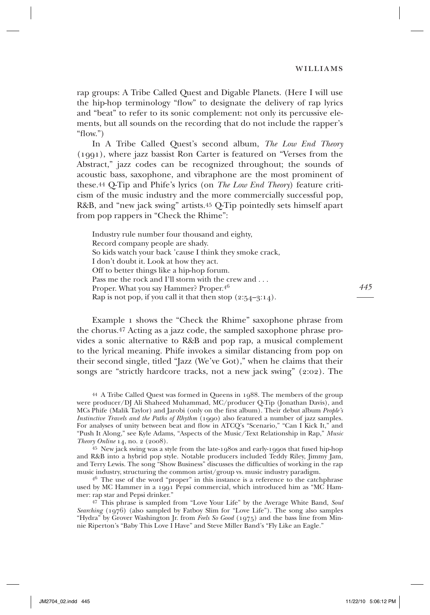rap groups: A Tribe Called Quest and Digable Planets. (Here I will use the hip-hop terminology "flow" to designate the delivery of rap lyrics and "beat" to refer to its sonic complement: not only its percussive elements, but all sounds on the recording that do not include the rapper's " $flow."$ )

In A Tribe Called Quest's second album, *The Low End Theory* (1991), where jazz bassist Ron Carter is featured on "Verses from the Abstract," jazz codes can be recognized throughout; the sounds of acoustic bass, saxophone, and vibraphone are the most prominent of these.44 Q-Tip and Phife's lyrics (on *The Low End Theory*) feature criticism of the music industry and the more commercially successful pop, R&B, and "new jack swing" artists.45 Q-Tip pointedly sets himself apart from pop rappers in "Check the Rhime":

Industry rule number four thousand and eighty, Record company people are shady. So kids watch your back 'cause I think they smoke crack, I don't doubt it. Look at how they act. Off to better things like a hip-hop forum. Pass me the rock and I'll storm with the crew and . . . Proper. What you say Hammer? Proper.<sup>46</sup> Rap is not pop, if you call it that then stop  $(2:54-3:14)$ .

Example 1 shows the "Check the Rhime" saxophone phrase from the chorus.47 Acting as a jazz code, the sampled saxophone phrase provides a sonic alternative to R&B and pop rap, a musical complement to the lyrical meaning. Phife invokes a similar distancing from pop on their second single, titled "Jazz (We've Got)," when he claims that their songs are "strictly hardcore tracks, not a new jack swing" (2:02). The

<sup>44</sup> A Tribe Called Quest was formed in Queens in 1988. The members of the group were producer/DJ Ali Shaheed Muhammad, MC/producer Q-Tip (Jonathan Davis), and MCs Phife (Malik Taylor) and Jarobi (only on the first album). Their debut album *People's Instinctive Travels and the Paths of Rhythm* (1990) also featured a number of jazz samples. For analyses of unity between beat and flow in ATCQ's "Scenario," "Can I Kick It," and "Push It Along," see Kyle Adams, "Aspects of the Music/Text Relationship in Rap," *Music Theory Online* 14, no. 2 (2008).

<sup>45</sup> New jack swing was a style from the late-1980s and early-1990s that fused hip-hop and R&B into a hybrid pop style. Notable producers included Teddy Riley, Jimmy Jam, and Terry Lewis. The song "Show Business" discusses the difficulties of working in the rap music industry, structuring the common artist/group vs. music industry paradigm.

<sup>46</sup> The use of the word "proper" in this instance is a reference to the catchphrase used by MC Hammer in a 1991 Pepsi commercial, which introduced him as "MC Hammer: rap star and Pepsi drinker."

<sup>47</sup> This phrase is sampled from "Love Your Life" by the Average White Band, *Soul Searching* (1976) (also sampled by Fatboy Slim for "Love Life"). The song also samples "Hydra" by Grover Washington Jr. from *Feels So Good* (1975) and the bass line from Minnie Riperton's "Baby This Love I Have" and Steve Miller Band's "Fly Like an Eagle."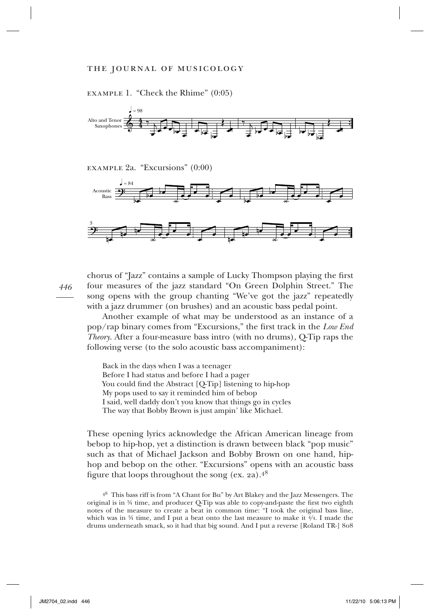example 1. "Check the Rhime" (0:05)



example 2a. "Excursions" (0:00)





chorus of "Jazz" contains a sample of Lucky Thompson playing the first four measures of the jazz standard "On Green Dolphin Street." The song opens with the group chanting "We've got the jazz" repeatedly with a jazz drummer (on brushes) and an acoustic bass pedal point.

Another example of what may be understood as an instance of a pop/rap binary comes from "Excursions," the first track in the *Low End Theory*. After a four-measure bass intro (with no drums), Q-Tip raps the following verse (to the solo acoustic bass accompaniment):

Back in the days when I was a teenager Before I had status and before I had a pager You could find the Abstract [Q-Tip] listening to hip-hop My pops used to say it reminded him of bebop I said, well daddy don't you know that things go in cycles The way that Bobby Brown is just ampin' like Michael.

These opening lyrics acknowledge the African American lineage from bebop to hip-hop, yet a distinction is drawn between black "pop music" such as that of Michael Jackson and Bobby Brown on one hand, hiphop and bebop on the other. "Excursions" opens with an acoustic bass figure that loops throughout the song (ex. 2a). $4^8$ 

<sup>48</sup> This bass riff is from "A Chant for Bu" by Art Blakey and the Jazz Messengers. The original is in  $\frac{3}{4}$  time, and producer Q-Tip was able to copy-and-paste the first two eighth notes of the measure to create a beat in common time: "I took the original bass line, which was in  $\frac{3}{4}$  time, and I put a beat onto the last measure to make it  $\frac{7}{4}$ . I made the drums underneath smack, so it had that big sound. And I put a reverse [Roland TR-] 808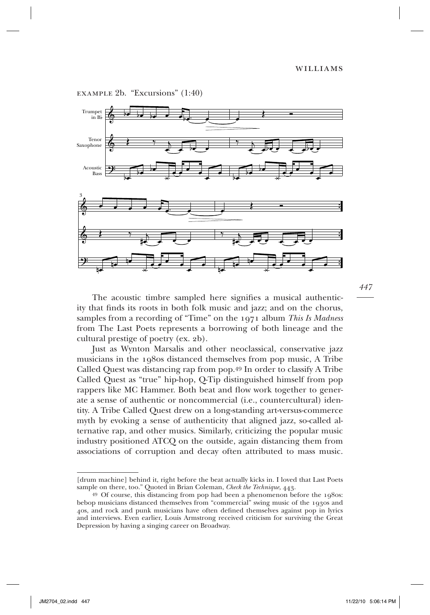

example 2b. "Excursions" (1:40)

The acoustic timbre sampled here signifies a musical authenticity that finds its roots in both folk music and jazz; and on the chorus, samples from a recording of "Time" on the 1971 album *This Is Madness* from The Last Poets represents a borrowing of both lineage and the cultural prestige of poetry (ex. 2b).

Just as Wynton Marsalis and other neoclassical, conservative jazz musicians in the 1980s distanced themselves from pop music, A Tribe Called Quest was distancing rap from pop.49 In order to classify A Tribe Called Quest as "true" hip-hop, Q-Tip distinguished himself from pop rappers like MC Hammer. Both beat and flow work together to generate a sense of authentic or noncommercial (i.e., countercultural) identity. A Tribe Called Quest drew on a long-standing art-versus-commerce myth by evoking a sense of authenticity that aligned jazz, so-called alternative rap, and other musics. Similarly, criticizing the popular music industry positioned ATCQ on the outside, again distancing them from associations of corruption and decay often attributed to mass music.

<sup>[</sup>drum machine] behind it, right before the beat actually kicks in. I loved that Last Poets sample on there, too." Quoted in Brian Coleman, *Check the Technique,* 443.

<sup>49</sup> Of course, this distancing from pop had been a phenomenon before the 1980s: bebop musicians distanced themselves from "commercial" swing music of the 1930s and 40s, and rock and punk musicians have often defined themselves against pop in lyrics and interviews. Even earlier, Louis Armstrong received criticism for surviving the Great Depression by having a singing career on Broadway.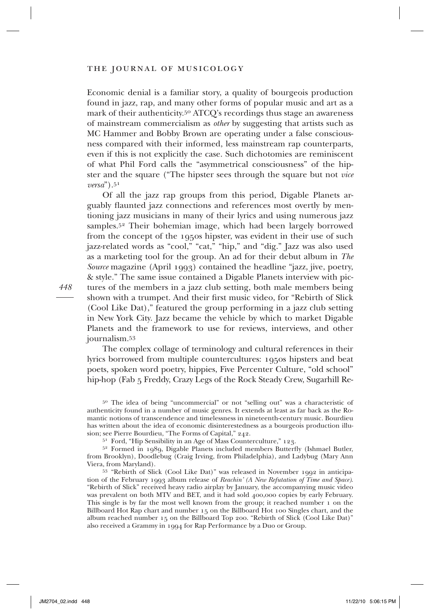Economic denial is a familiar story, a quality of bourgeois production found in jazz, rap, and many other forms of popular music and art as a mark of their authenticity.50 ATCQ's recordings thus stage an awareness of mainstream commercialism as *other* by suggesting that artists such as MC Hammer and Bobby Brown are operating under a false consciousness compared with their informed, less mainstream rap counterparts, even if this is not explicitly the case. Such dichotomies are reminiscent of what Phil Ford calls the "asymmetrical consciousness" of the hipster and the square ("The hipster sees through the square but not *vice versa*").51

Of all the jazz rap groups from this period, Digable Planets arguably flaunted jazz connections and references most overtly by mentioning jazz musicians in many of their lyrics and using numerous jazz samples.<sup>52</sup> Their bohemian image, which had been largely borrowed from the concept of the 1950s hipster, was evident in their use of such jazz-related words as "cool," "cat," "hip," and "dig." Jazz was also used as a marketing tool for the group. An ad for their debut album in *The Source* magazine (April 1993) contained the headline "jazz, jive, poetry, & style." The same issue contained a Digable Planets interview with pictures of the members in a jazz club setting, both male members being shown with a trumpet. And their first music video, for "Rebirth of Slick" (Cool Like Dat)," featured the group performing in a jazz club setting in New York City. Jazz became the vehicle by which to market Digable Planets and the framework to use for reviews, interviews, and other journalism.53

The complex collage of terminology and cultural references in their lyrics borrowed from multiple countercultures: 1950s hipsters and beat poets, spoken word poetry, hippies, Five Percenter Culture, "old school" hip-hop (Fab 5 Freddy, Crazy Legs of the Rock Steady Crew, Sugarhill Re-

<sup>50</sup> The idea of being "uncommercial" or not "selling out" was a characteristic of authenticity found in a number of music genres. It extends at least as far back as the Romantic notions of transcendence and timelessness in nineteenth-century music. Bourdieu has written about the idea of economic disinterestedness as a bourgeois production illusion; see Pierre Bourdieu, "The Forms of Capital," 242.

<sup>51</sup> Ford, "Hip Sensibility in an Age of Mass Counterculture," 123.

<sup>52</sup> Formed in 1989, Digable Planets included members Butterfly (Ishmael Butler, from Brooklyn), Doodlebug (Craig Irving, from Philadelphia), and Ladybug (Mary Ann Viera, from Maryland).

<sup>53</sup> "Rebirth of Slick (Cool Like Dat)" was released in November 1992 in anticipation of the February 1993 album release of *Reachin' (A New Refutation of Time and Space)*. "Rebirth of Slick" received heavy radio airplay by January, the accompanying music video was prevalent on both MTV and BET, and it had sold 400,000 copies by early February. This single is by far the most well known from the group; it reached number 1 on the Billboard Hot Rap chart and number 15 on the Billboard Hot 100 Singles chart, and the album reached number 15 on the Billboard Top 200. "Rebirth of Slick (Cool Like Dat)" also received a Grammy in 1994 for Rap Performance by a Duo or Group.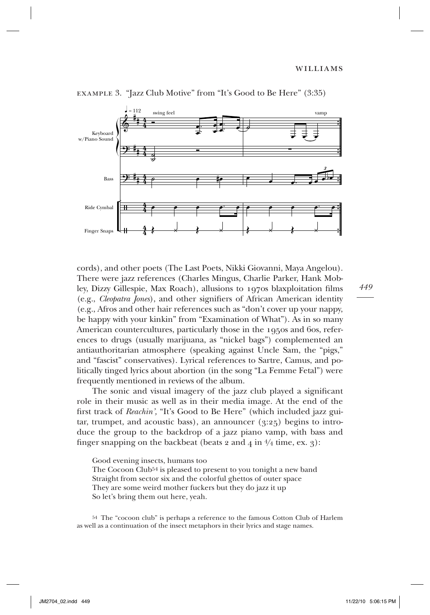

example 3. "Jazz Club Motive" from "It's Good to Be Here" (3:35)

cords), and other poets (The Last Poets, Nikki Giovanni, Maya Angelou). There were jazz references (Charles Mingus, Charlie Parker, Hank Mobley, Dizzy Gillespie, Max Roach), allusions to 1970s blaxploitation films (e.g., *Cleopatra Jones*), and other signifiers of African American identity (e.g., Afros and other hair references such as "don't cover up your nappy, be happy with your kinkin" from "Examination of What"). As in so many American countercultures, particularly those in the 1950s and 60s, references to drugs (usually marijuana, as "nickel bags") complemented an antiauthoritarian atmosphere (speaking against Uncle Sam, the "pigs," and "fascist" conservatives). Lyrical references to Sartre, Camus, and politically tinged lyrics about abortion (in the song "La Femme Fetal") were frequently mentioned in reviews of the album.

The sonic and visual imagery of the jazz club played a significant role in their music as well as in their media image. At the end of the first track of *Reachin'*, "It's Good to Be Here" (which included jazz guitar, trumpet, and acoustic bass), an announcer  $(3:25)$  begins to introduce the group to the backdrop of a jazz piano vamp, with bass and finger snapping on the backbeat (beats 2 and 4 in  $\frac{4}{1}$  time, ex. 3):

Good evening insects, humans too The Cocoon Club54 is pleased to present to you tonight a new band Straight from sector six and the colorful ghettos of outer space They are some weird mother fuckers but they do jazz it up So let's bring them out here, yeah.

<sup>54</sup> The "cocoon club" is perhaps a reference to the famous Cotton Club of Harlem as well as a continuation of the insect metaphors in their lyrics and stage names.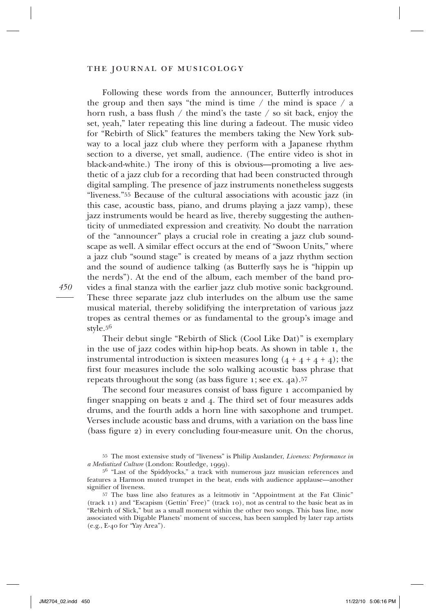#### the journal of musicology

Following these words from the announcer, Butterfly introduces the group and then says "the mind is time / the mind is space / a horn rush, a bass flush  $/$  the mind's the taste  $/$  so sit back, enjoy the set, yeah," later repeating this line during a fadeout. The music video for "Rebirth of Slick" features the members taking the New York subway to a local jazz club where they perform with a Japanese rhythm section to a diverse, yet small, audience. (The entire video is shot in black-and-white.) The irony of this is obvious—promoting a live aesthetic of a jazz club for a recording that had been constructed through digital sampling. The presence of jazz instruments nonetheless suggests "liveness."55 Because of the cultural associations with acoustic jazz (in this case, acoustic bass, piano, and drums playing a jazz vamp), these jazz instruments would be heard as live, thereby suggesting the authenticity of unmediated expression and creativity. No doubt the narration of the "announcer" plays a crucial role in creating a jazz club soundscape as well. A similar effect occurs at the end of "Swoon Units," where a jazz club "sound stage" is created by means of a jazz rhythm section and the sound of audience talking (as Butterfly says he is "hippin up the nerds"). At the end of the album, each member of the band provides a final stanza with the earlier jazz club motive sonic background. These three separate jazz club interludes on the album use the same musical material, thereby solidifying the interpretation of various jazz tropes as central themes or as fundamental to the group's image and style.56

Their debut single "Rebirth of Slick (Cool Like Dat)" is exemplary in the use of jazz codes within hip-hop beats. As shown in table 1, the instrumental introduction is sixteen measures long  $(4 + 4 + 4 + 4)$ ; the first four measures include the solo walking acoustic bass phrase that repeats throughout the song (as bass figure 1; see ex.  $\alpha$ <sub>4</sub>a).<sup>57</sup>

The second four measures consist of bass figure 1 accompanied by finger snapping on beats  $2$  and  $4$ . The third set of four measures adds drums, and the fourth adds a horn line with saxophone and trumpet. Verses include acoustic bass and drums, with a variation on the bass line  $(bass figure 2)$  in every concluding four-measure unit. On the chorus,

<sup>55</sup> The most extensive study of "liveness" is Philip Auslander, *Liveness: Performance in a Mediatized Culture* (London: Routledge, 1999).

<sup>56</sup> "Last of the Spiddyocks," a track with numerous jazz musician references and features a Harmon muted trumpet in the beat, ends with audience applause—another signifier of liveness.

<sup>57</sup> The bass line also features as a leitmotiv in "Appointment at the Fat Clinic" (track 11) and "Escapism (Gettin' Free)" (track 10), not as central to the basic beat as in "Rebirth of Slick," but as a small moment within the other two songs. This bass line, now associated with Digable Planets' moment of success, has been sampled by later rap artists (e.g., E-40 for "Yay Area").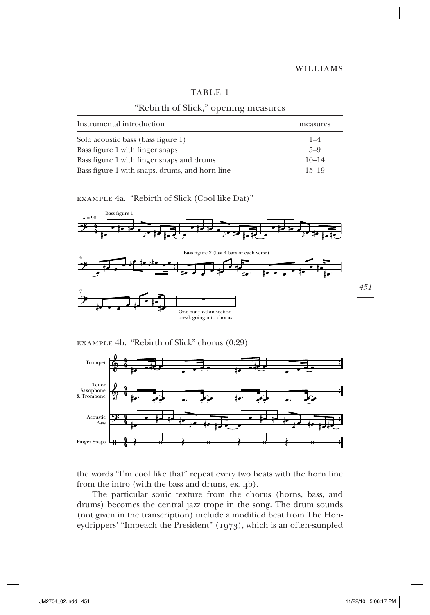# TABLE 1

| Instrumental introduction                      | measures  |
|------------------------------------------------|-----------|
| Solo acoustic bass (bass figure 1)             | $1 - 4$   |
| Bass figure 1 with finger snaps                | $5 - 9$   |
| Bass figure 1 with finger snaps and drums      | $10 - 14$ |
| Bass figure 1 with snaps, drums, and horn line | $15 - 19$ |

# "Rebirth of Slick," opening measures

example 4a. "Rebirth of Slick (Cool like Dat)"



example 4b. "Rebirth of Slick" chorus (0:29)



the words "I'm cool like that" repeat every two beats with the horn line from the intro (with the bass and drums, ex. 4b).

The particular sonic texture from the chorus (horns, bass, and drums) becomes the central jazz trope in the song. The drum sounds (not given in the transcription) include a modified beat from The Honeydrippers' "Impeach the President" (1973), which is an often-sampled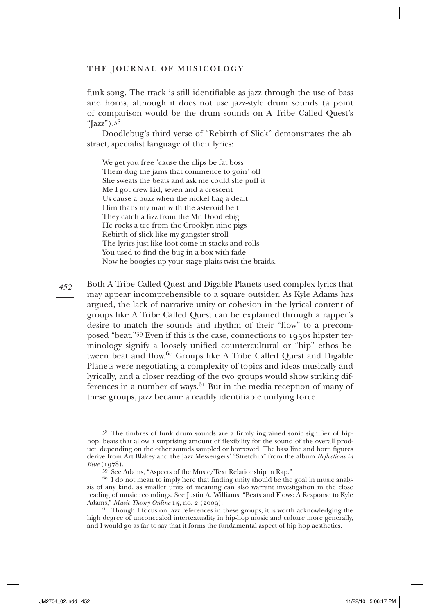funk song. The track is still identifiable as jazz through the use of bass and horns, although it does not use jazz-style drum sounds (a point of comparison would be the drum sounds on A Tribe Called Quest's "Jazz"). $5^8$ 

Doodlebug's third verse of "Rebirth of Slick" demonstrates the abstract, specialist language of their lyrics:

We get you free 'cause the clips be fat boss Them dug the jams that commence to goin' off She sweats the beats and ask me could she puff it Me I got crew kid, seven and a crescent Us cause a buzz when the nickel bag a dealt Him that's my man with the asteroid belt They catch a fizz from the Mr. Doodlebig He rocks a tee from the Crooklyn nine pigs Rebirth of slick like my gangster stroll The lyrics just like loot come in stacks and rolls You used to find the bug in a box with fade Now he boogies up your stage plaits twist the braids.

*452* Both A Tribe Called Quest and Digable Planets used complex lyrics that may appear incomprehensible to a square outsider. As Kyle Adams has argued, the lack of narrative unity or cohesion in the lyrical content of groups like A Tribe Called Quest can be explained through a rapper's desire to match the sounds and rhythm of their "flow" to a precomposed "beat."59 Even if this is the case, connections to 1950s hipster terminology signify a loosely unified countercultural or "hip" ethos between beat and flow.<sup>60</sup> Groups like A Tribe Called Quest and Digable Planets were negotiating a complexity of topics and ideas musically and lyrically, and a closer reading of the two groups would show striking differences in a number of ways. $61$  But in the media reception of many of these groups, jazz became a readily identifiable unifying force.

 $5<sup>8</sup>$  The timbres of funk drum sounds are a firmly ingrained sonic signifier of hiphop, beats that allow a surprising amount of flexibility for the sound of the overall product, depending on the other sounds sampled or borrowed. The bass line and horn figures derive from Art Blakey and the Jazz Messengers' "Stretchin" from the album *Reflections in Blue* (1978).

 $60$  I do not mean to imply here that finding unity should be the goal in music analysis of any kind, as smaller units of meaning can also warrant investigation in the close reading of music recordings. See Justin A. Williams, "Beats and Flows: A Response to Kyle Adams," *Music Theory Online* 15, no. 2 (2009).

 $61$  Though I focus on jazz references in these groups, it is worth acknowledging the high degree of unconcealed intertextuality in hip-hop music and culture more generally, and I would go as far to say that it forms the fundamental aspect of hip-hop aesthetics.

<sup>59</sup> See Adams, "Aspects of the Music/Text Relationship in Rap."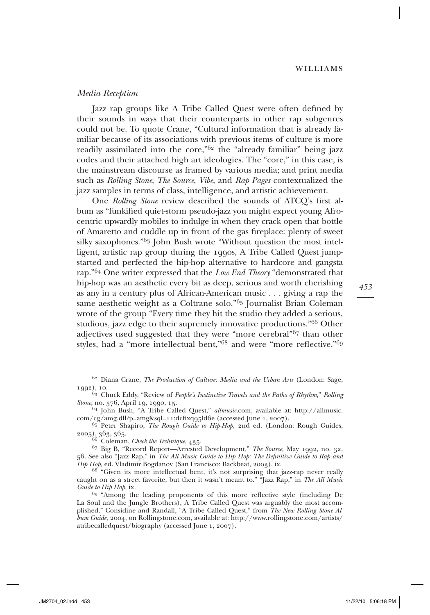## *Media Reception*

Jazz rap groups like A Tribe Called Quest were often defined by their sounds in ways that their counterparts in other rap subgenres could not be. To quote Crane, "Cultural information that is already familiar because of its associations with previous items of culture is more readily assimilated into the core,"<sup>62</sup> the "already familiar" being jazz codes and their attached high art ideologies. The "core," in this case, is the mainstream discourse as framed by various media; and print media such as *Rolling Stone*, *The Source*, *Vibe*, and *Rap Pages* contextualized the jazz samples in terms of class, intelligence, and artistic achievement.

One *Rolling Stone* review described the sounds of ATCQ's first album as "funkified quiet-storm pseudo-jazz you might expect young Afrocentric upwardly mobiles to indulge in when they crack open that bottle of Amaretto and cuddle up in front of the gas fireplace: plenty of sweet silky saxophones.<sup>"63</sup> John Bush wrote "Without question the most intelligent, artistic rap group during the 1990s, A Tribe Called Quest jumpstarted and perfected the hip-hop alternative to hardcore and gangsta rap."64 One writer expressed that the *Low End Theory* "demonstrated that hip-hop was an aesthetic every bit as deep, serious and worth cherishing as any in a century plus of African-American music . . . giving a rap the same aesthetic weight as a Coltrane solo."65 Journalist Brian Coleman wrote of the group "Every time they hit the studio they added a serious, studious, jazz edge to their supremely innovative productions."66 Other adjectives used suggested that they were "more cerebral"67 than other styles, had a "more intellectual bent," $68$  and were "more reflective." $69$ 

<sup>62</sup> Diana Crane, *The Production of Culture: Media and the Urban Arts* (London: Sage, 1992), 10.

<sup>63</sup> Chuck Eddy, "Review of *People's Instinctive Travels and the Paths of Rhythm*," *Rolling Stone,* no. 576*,* April 19, 1990, 15.

<sup>64</sup> John Bush, "A Tribe Called Quest," *allmusic*.com, available at: http://allmusic. com/cg/amg.dll?p=amg&sql=11:dcfixq95ld6e (accessed June 1, 2007).

<sup>65</sup> Peter Shapiro, *The Rough Guide to Hip-Hop,* 2nd ed. (London: Rough Guides, 2005), 363, 365.

<sup>66</sup> Coleman, *Check the Technique,* 435.

<sup>67</sup> Big B, "Record Report—Arrested Development," *The Source,* May 1992, no. 32, 56. See also "Jazz Rap," in *The All Music Guide to Hip Hop: The Definitive Guide to Rap and Hip Hop,* ed. Vladimir Bogdanov (San Francisco: Backbeat, 2003), ix.

<sup>68</sup> "Given its more intellectual bent, it's not surprising that jazz-rap never really caught on as a street favorite, but then it wasn't meant to." "Jazz Rap," in *The All Music Guide to Hip Hop,* ix.

 $69$  "Among the leading proponents of this more reflective style (including De La Soul and the Jungle Brothers), A Tribe Called Quest was arguably the most accomplished." Considine and Randall, "A Tribe Called Quest," from *The New Rolling Stone Album Guide,* 2004, on Rollingstone.com, available at: http://www.rollingstone.com/artists/ atribecalledquest/biography (accessed June 1, 2007).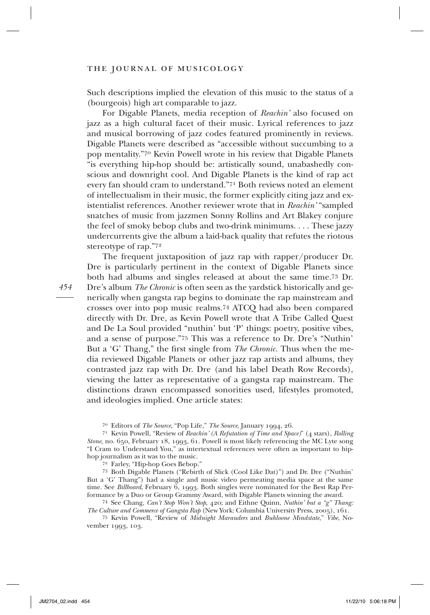Such descriptions implied the elevation of this music to the status of a (bourgeois) high art comparable to jazz.

For Digable Planets, media reception of *Reachin'* also focused on jazz as a high cultural facet of their music. Lyrical references to jazz and musical borrowing of jazz codes featured prominently in reviews. Digable Planets were described as "accessible without succumbing to a pop mentality."70 Kevin Powell wrote in his review that Digable Planets "is everything hip-hop should be: artistically sound, unabashedly conscious and downright cool. And Digable Planets is the kind of rap act every fan should cram to understand."71 Both reviews noted an element of intellectualism in their music, the former explicitly citing jazz and existentialist references. Another reviewer wrote that in *Reachin'* "sampled snatches of music from jazzmen Sonny Rollins and Art Blakey conjure the feel of smoky bebop clubs and two-drink minimums. . . . These jazzy undercurrents give the album a laid-back quality that refutes the riotous stereotype of rap."72

The frequent juxtaposition of jazz rap with rapper/producer Dr. Dre is particularly pertinent in the context of Digable Planets since both had albums and singles released at about the same time.73 Dr. Dre's album *The Chronic* is often seen as the yardstick historically and generically when gangsta rap begins to dominate the rap mainstream and crosses over into pop music realms.74 ATCQ had also been compared directly with Dr. Dre, as Kevin Powell wrote that A Tribe Called Quest and De La Soul provided "nuthin' but 'P' things: poetry, positive vibes, and a sense of purpose."75 This was a reference to Dr. Dre's "Nuthin' But a 'G' Thang," the first single from *The Chronic*. Thus when the media reviewed Digable Planets or other jazz rap artists and albums, they contrasted jazz rap with Dr. Dre (and his label Death Row Records), viewing the latter as representative of a gangsta rap mainstream. The distinctions drawn encompassed sonorities used, lifestyles promoted, and ideologies implied. One article states:

<sup>70</sup> Editors of *The Source*, "Pop Life," *The Source*, January 1994, 26.

<sup>71</sup> Kevin Powell, "Review of *Reachin' (A Refutation of Time and Space)*" (4 stars), *Rolling Stone,* no. 650, February 18, 1993, 61. Powell is most likely referencing the MC Lyte song "I Cram to Understand You," as intertextual references were often as important to hiphop journalism as it was to the music.

<sup>72</sup> Farley, "Hip-hop Goes Bebop."

<sup>73</sup> Both Digable Planets ("Rebirth of Slick (Cool Like Dat)") and Dr. Dre ("Nuthin' But a 'G' Thang") had a single and music video permeating media space at the same time. See *Billboard*, February 6, 1993. Both singles were nominated for the Best Rap Performance by a Duo or Group Grammy Award, with Digable Planets winning the award.

<sup>74</sup> See Chang, *Can't Stop Won't Stop,* 420; and Eithne Quinn, *Nuthin' but a "g" Thang: The Culture and Commerce of Gangsta Rap* (New York: Columbia University Press, 2005), 161.

<sup>75</sup> Kevin Powell, "Review of *Midnight Marauders* and *Buhloone Mindstate*," *Vibe*, November 1993, 103.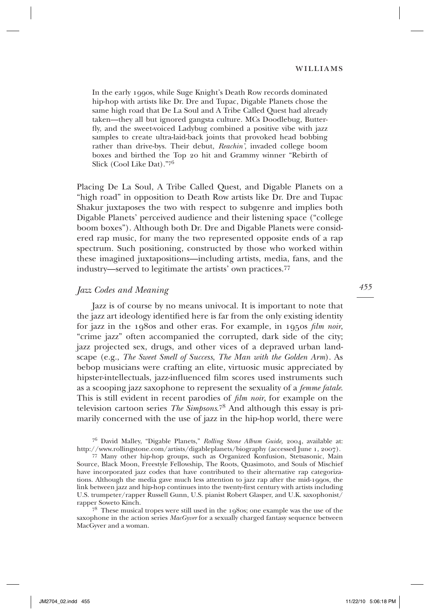In the early 1990s, while Suge Knight's Death Row records dominated hip-hop with artists like Dr. Dre and Tupac, Digable Planets chose the same high road that De La Soul and A Tribe Called Quest had already taken—they all but ignored gangsta culture. MCs Doodlebug, Butter fly, and the sweet-voiced Ladybug combined a positive vibe with jazz samples to create ultra-laid-back joints that provoked head bobbing rather than drive-bys. Their debut, *Reachin'*, invaded college boom boxes and birthed the Top 20 hit and Grammy winner "Rebirth of Slick (Cool Like Dat)."76

Placing De La Soul, A Tribe Called Quest, and Digable Planets on a "high road" in opposition to Death Row artists like Dr. Dre and Tupac Shakur juxtaposes the two with respect to subgenre and implies both Digable Planets' perceived audience and their listening space ("college boom boxes"). Although both Dr. Dre and Digable Planets were considered rap music, for many the two represented opposite ends of a rap spectrum. Such positioning, constructed by those who worked within these imagined juxtapositions—including artists, media, fans, and the industry—served to legitimate the artists' own practices.77

#### *Jazz Codes and Meaning*

Jazz is of course by no means univocal. It is important to note that the jazz art ideology identified here is far from the only existing identity for jazz in the 1980s and other eras. For example, in 1950s *film noir*, "crime jazz" often accompanied the corrupted, dark side of the city; jazz projected sex, drugs, and other vices of a depraved urban landscape (e.g., *The Sweet Smell of Success*, *The Man with the Golden Arm*). As bebop musicians were crafting an elite, virtuosic music appreciated by hipster-intellectuals, jazz-influenced film scores used instruments such as a scooping jazz saxophone to represent the sexuality of a *femme fatale*. This is still evident in recent parodies of *film noir*, for example on the television cartoon series *The Simpsons*. 78 And although this essay is primarily concerned with the use of jazz in the hip-hop world, there were

<sup>76</sup> David Malley, "Digable Planets," *Rolling Stone Album Guide,* 2004, available at: http://www.rollingstone.com/artists/digableplanets/biography (accessed June 1, 2007).

<sup>77</sup> Many other hip-hop groups, such as Organized Konfusion, Stetsasonic, Main Source, Black Moon, Freestyle Fellowship, The Roots, Quasimoto, and Souls of Mischief have incorporated jazz codes that have contributed to their alternative rap categorizations. Although the media gave much less attention to jazz rap after the mid-1990s, the link between jazz and hip-hop continues into the twenty-first century with artists including U.S. trumpeter/rapper Russell Gunn, U.S. pianist Robert Glasper, and U.K. saxophonist/ rapper Soweto Kinch.

<sup>78</sup> These musical tropes were still used in the 1980s; one example was the use of the saxophone in the action series *MacGyver* for a sexually charged fantasy sequence between MacGyver and a woman.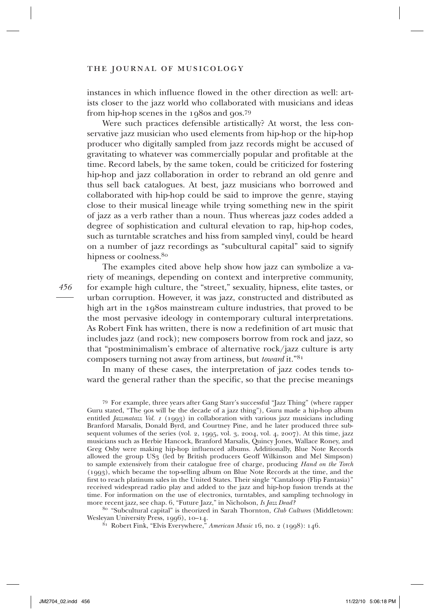instances in which influence flowed in the other direction as well: artists closer to the jazz world who collaborated with musicians and ideas from hip-hop scenes in the 1980s and 90s.79

Were such practices defensible artistically? At worst, the less conservative jazz musician who used elements from hip-hop or the hip-hop producer who digitally sampled from jazz records might be accused of gravitating to whatever was commercially popular and profitable at the time. Record labels, by the same token, could be criticized for fostering hip-hop and jazz collaboration in order to rebrand an old genre and thus sell back catalogues. At best, jazz musicians who borrowed and collaborated with hip-hop could be said to improve the genre, staying close to their musical lineage while trying something new in the spirit of jazz as a verb rather than a noun. Thus whereas jazz codes added a degree of sophistication and cultural elevation to rap, hip-hop codes, such as turntable scratches and hiss from sampled vinyl, could be heard on a number of jazz recordings as "subcultural capital" said to signify hipness or coolness.<sup>80</sup>

The examples cited above help show how jazz can symbolize a variety of meanings, depending on context and interpretive community, for example high culture, the "street," sexuality, hipness, elite tastes, or urban corruption. However, it was jazz, constructed and distributed as high art in the 1980s mainstream culture industries, that proved to be the most pervasive ideology in contemporary cultural interpretations. As Robert Fink has written, there is now a redefinition of art music that includes jazz (and rock); new composers borrow from rock and jazz, so that "postminimalism's embrace of alternative rock/jazz culture is arty composers turning not away from artiness, but *toward* it."81

In many of these cases, the interpretation of jazz codes tends toward the general rather than the specific, so that the precise meanings

<sup>79</sup> For example, three years after Gang Starr's successful "Jazz Thing" (where rapper Guru stated, "The 90s will be the decade of a jazz thing"), Guru made a hip-hop album entitled *Jazzmatazz Vol. 1* (1993) in collaboration with various jazz musicians including Branford Marsalis, Donald Byrd, and Courtney Pine, and he later produced three subsequent volumes of the series (vol. 2, 1995, vol. 3, 2004, vol. 4, 2007). At this time, jazz musicians such as Herbie Hancock, Branford Marsalis, Quincy Jones, Wallace Roney, and Greg Osby were making hip-hop influenced albums. Additionally, Blue Note Records allowed the group US3 (led by British producers Geoff Wilkinson and Mel Simpson) to sample extensively from their catalogue free of charge, producing *Hand on the Torch* (1993), which became the top-selling album on Blue Note Records at the time, and the first to reach platinum sales in the United States. Their single "Cantaloop (Flip Fantasia)" received widespread radio play and added to the jazz and hip-hop fusion trends at the time. For information on the use of electronics, turntables, and sampling technology in more recent jazz, see chap. 6, "Future Jazz," in Nicholson, *Is Jazz Dead?*

<sup>80</sup> "Subcultural capital" is theorized in Sarah Thornton, *Club Cultures* (Middletown: Wesleyan University Press, 1996), 10–14.

<sup>81</sup> Robert Fink, "Elvis Everywhere," *American Music* 16, no. 2 (1998): 146.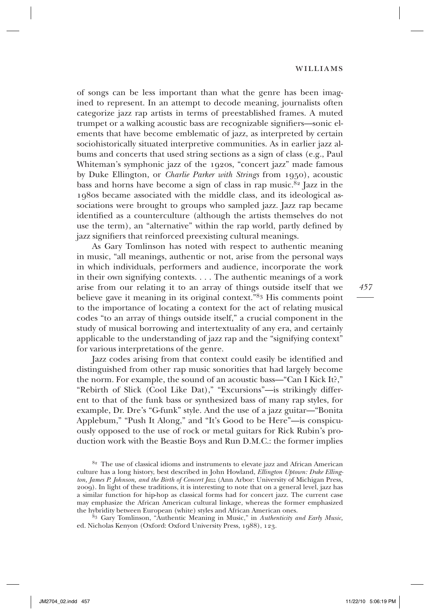of songs can be less important than what the genre has been imagined to represent. In an attempt to decode meaning, journalists often categorize jazz rap artists in terms of preestablished frames. A muted trumpet or a walking acoustic bass are recognizable signifiers—sonic elements that have become emblematic of jazz, as interpreted by certain sociohistorically situated interpretive communities. As in earlier jazz albums and concerts that used string sections as a sign of class (e.g., Paul Whiteman's symphonic jazz of the 1920s, "concert jazz" made famous by Duke Ellington, or *Charlie Parker with Strings* from 1950), acoustic bass and horns have become a sign of class in rap music.<sup>82</sup> Jazz in the 1980s became associated with the middle class, and its ideological associations were brought to groups who sampled jazz. Jazz rap became identified as a counterculture (although the artists themselves do not use the term), an "alternative" within the rap world, partly defined by jazz signifiers that reinforced preexisting cultural meanings.

As Gary Tomlinson has noted with respect to authentic meaning in music, "all meanings, authentic or not, arise from the personal ways in which individuals, performers and audience, incorporate the work in their own signifying contexts. . . . The authentic meanings of a work arise from our relating it to an array of things outside itself that we believe gave it meaning in its original context."83 His comments point to the importance of locating a context for the act of relating musical codes "to an array of things outside itself," a crucial component in the study of musical borrowing and intertextuality of any era, and certainly applicable to the understanding of jazz rap and the "signifying context" for various interpretations of the genre.

Jazz codes arising from that context could easily be identified and distinguished from other rap music sonorities that had largely become the norm. For example, the sound of an acoustic bass—"Can I Kick It?," "Rebirth of Slick (Cool Like Dat)," "Excursions"—is strikingly different to that of the funk bass or synthesized bass of many rap styles, for example, Dr. Dre's "G-funk" style. And the use of a jazz guitar—"Bonita Applebum," "Push It Along," and "It's Good to be Here"—is conspicuously opposed to the use of rock or metal guitars for Rick Rubin's production work with the Beastie Boys and Run D.M.C.: the former implies

 $82$  The use of classical idioms and instruments to elevate jazz and African American culture has a long history, best described in John Howland, *Ellington Uptown: Duke Ellington, James P. Johnson, and the Birth of Concert Jazz* (Ann Arbor: University of Michigan Press, 2009). In light of these traditions, it is interesting to note that on a general level, jazz has a similar function for hip-hop as classical forms had for concert jazz. The current case may emphasize the African American cultural linkage, whereas the former emphasized the hybridity between European (white) styles and African American ones.

<sup>83</sup> Gary Tomlinson, "Authentic Meaning in Music," in *Authenticity and Early Music,*  ed. Nicholas Kenyon (Oxford: Oxford University Press, 1988), 123.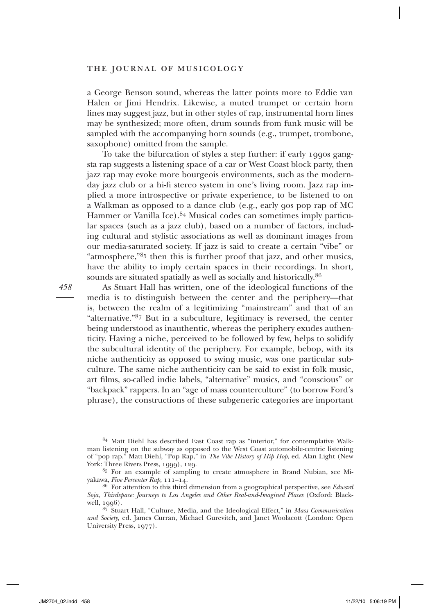a George Benson sound, whereas the latter points more to Eddie van Halen or Jimi Hendrix. Likewise, a muted trumpet or certain horn lines may suggest jazz, but in other styles of rap, instrumental horn lines may be synthesized; more often, drum sounds from funk music will be sampled with the accompanying horn sounds (e.g., trumpet, trombone, saxophone) omitted from the sample.

To take the bifurcation of styles a step further: if early 1990s gangsta rap suggests a listening space of a car or West Coast block party, then jazz rap may evoke more bourgeois environments, such as the modernday jazz club or a hi-fi stereo system in one's living room. Jazz rap implied a more introspective or private experience, to be listened to on a Walkman as opposed to a dance club (e.g., early 90s pop rap of MC Hammer or Vanilla Ice).<sup>84</sup> Musical codes can sometimes imply particular spaces (such as a jazz club), based on a number of factors, including cultural and stylistic associations as well as dominant images from our media-saturated society. If jazz is said to create a certain "vibe" or "atmosphere,"85 then this is further proof that jazz, and other musics, have the ability to imply certain spaces in their recordings. In short, sounds are situated spatially as well as socially and historically.<sup>86</sup>

*458*

As Stuart Hall has written, one of the ideological functions of the media is to distinguish between the center and the periphery—that is, between the realm of a legitimizing "mainstream" and that of an "alternative."87 But in a subculture, legitimacy is reversed, the center being understood as inauthentic, whereas the periphery exudes authenticity. Having a niche, perceived to be followed by few, helps to solidify the subcultural identity of the periphery. For example, bebop, with its niche authenticity as opposed to swing music, was one particular subculture. The same niche authenticity can be said to exist in folk music, art films, so-called indie labels, "alternative" musics, and "conscious" or "backpack" rappers. In an "age of mass counterculture" (to borrow Ford's phrase), the constructions of these subgeneric categories are important

<sup>84</sup> Matt Diehl has described East Coast rap as "interior," for contemplative Walkman listening on the subway as opposed to the West Coast automobile-centric listening of "pop rap." Matt Diehl, "Pop Rap," in *The Vibe History of Hip Hop*, ed. Alan Light (New York: Three Rivers Press, 1999), 129.

<sup>85</sup> For an example of sampling to create atmosphere in Brand Nubian, see Miyakawa, *Five Percenter Rap,* 111–14.

<sup>86</sup> For attention to this third dimension from a geographical perspective, see *Edward Soja, Thirdspace: Journeys to Los Angeles and Other Real-and-Imagined Places* (Oxford: Blackwell, 1996).

<sup>87</sup> Stuart Hall, "Culture, Media, and the Ideological Effect," in *Mass Communication and Society*, ed. James Curran, Michael Gurevitch, and Janet Woolacott (London: Open University Press, 1977).